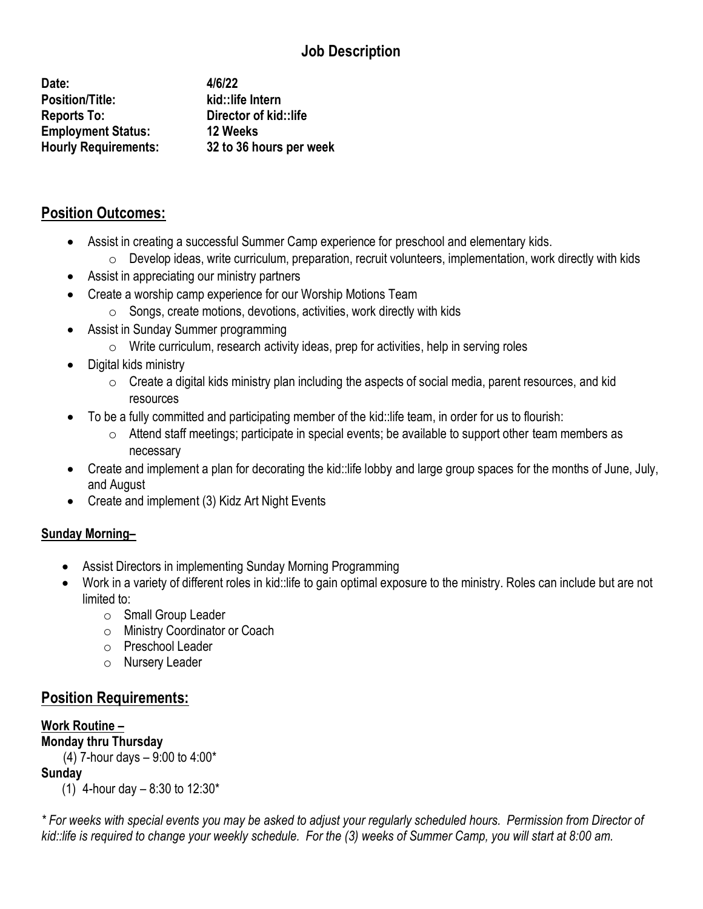# **Job Description**

**Date: 4/6/22 Position/Title: kid::life Intern Reports To: Director of kid::life Employment Status: 12 Weeks Hourly Requirements: 32 to 36 hours per week**

## **Position Outcomes:**

- Assist in creating a successful Summer Camp experience for preschool and elementary kids.
	- o Develop ideas, write curriculum, preparation, recruit volunteers, implementation, work directly with kids
- Assist in appreciating our ministry partners
- Create a worship camp experience for our Worship Motions Team
	- $\circ$  Songs, create motions, devotions, activities, work directly with kids
- Assist in Sunday Summer programming
	- $\circ$  Write curriculum, research activity ideas, prep for activities, help in serving roles
- Digital kids ministry
	- $\circ$  Create a digital kids ministry plan including the aspects of social media, parent resources, and kid resources
- To be a fully committed and participating member of the kid::life team, in order for us to flourish:
	- $\circ$  Attend staff meetings; participate in special events; be available to support other team members as necessary
- Create and implement a plan for decorating the kid::life lobby and large group spaces for the months of June, July, and August
- Create and implement (3) Kidz Art Night Events

#### **Sunday Morning–**

- Assist Directors in implementing Sunday Morning Programming
- Work in a variety of different roles in kid::life to gain optimal exposure to the ministry. Roles can include but are not limited to:
	- o Small Group Leader
	- o Ministry Coordinator or Coach
	- o Preschool Leader
	- o Nursery Leader

### **Position Requirements:**

#### **Work Routine – Monday thru Thursday** (4) 7-hour days – 9:00 to 4:00\* **Sunday** (1) 4-hour day  $-8:30$  to 12:30\*

*\* For weeks with special events you may be asked to adjust your regularly scheduled hours. Permission from Director of kid::life is required to change your weekly schedule. For the (3) weeks of Summer Camp, you will start at 8:00 am.*